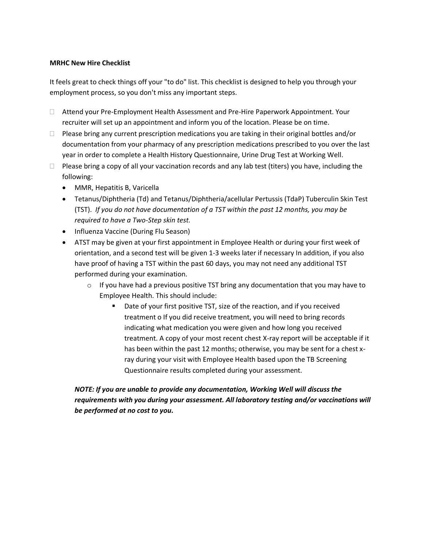## **MRHC New Hire Checklist**

It feels great to check things off your "to do" list. This checklist is designed to help you through your employment process, so you don't miss any important steps.

- Attend your Pre-Employment Health Assessment and Pre-Hire Paperwork Appointment. Your recruiter will set up an appointment and inform you of the location. Please be on time.
- $\Box$  Please bring any current prescription medications you are taking in their original bottles and/or documentation from your pharmacy of any prescription medications prescribed to you over the last year in order to complete a Health History Questionnaire, Urine Drug Test at Working Well.
- $\Box$  Please bring a copy of all your vaccination records and any lab test (titers) you have, including the following:
	- MMR, Hepatitis B, Varicella
	- Tetanus/Diphtheria (Td) and Tetanus/Diphtheria/acellular Pertussis (TdaP) Tuberculin Skin Test (TST). *If you do not have documentation of a TST within the past 12 months, you may be required to have a Two-Step skin test.*
	- Influenza Vaccine (During Flu Season)
	- ATST may be given at your first appointment in Employee Health or during your first week of orientation, and a second test will be given 1-3 weeks later if necessary In addition, if you also have proof of having a TST within the past 60 days, you may not need any additional TST performed during your examination.
		- $\circ$  If you have had a previous positive TST bring any documentation that you may have to Employee Health. This should include:
			- Date of your first positive TST, size of the reaction, and if you received treatment o If you did receive treatment, you will need to bring records indicating what medication you were given and how long you received treatment. A copy of your most recent chest X-ray report will be acceptable if it has been within the past 12 months; otherwise, you may be sent for a chest xray during your visit with Employee Health based upon the TB Screening Questionnaire results completed during your assessment.

## *NOTE: If you are unable to provide any documentation, Working Well will discuss the requirements with you during your assessment. All laboratory testing and/or vaccinations will be performed at no cost to you.*